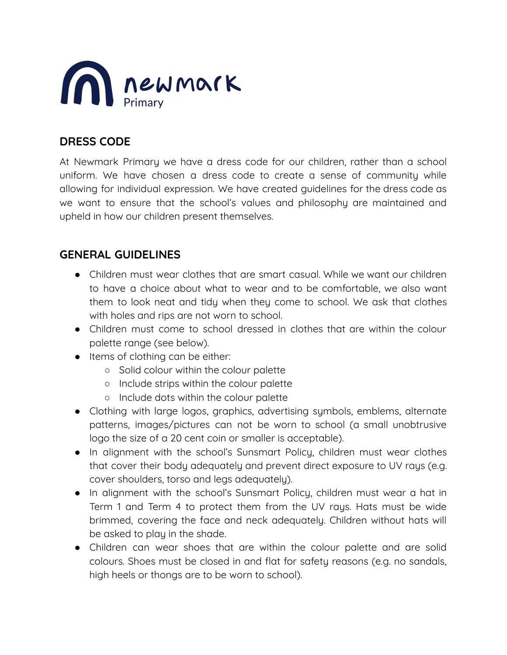

## **DRESS CODE**

At Newmark Primary we have a dress code for our children, rather than a school uniform. We have chosen a dress code to create a sense of community while allowing for individual expression. We have created guidelines for the dress code as we want to ensure that the school's values and philosophy are maintained and upheld in how our children present themselves.

## **GENERAL GUIDELINES**

- Children must wear clothes that are smart casual. While we want our children to have a choice about what to wear and to be comfortable, we also want them to look neat and tidy when they come to school. We ask that clothes with holes and rips are not worn to school.
- Children must come to school dressed in clothes that are within the colour palette range (see below).
- Items of clothing can be either:
	- Solid colour within the colour palette
	- Include strips within the colour palette
	- Include dots within the colour palette
- Clothing with large logos, graphics, advertising symbols, emblems, alternate patterns, images/pictures can not be worn to school (a small unobtrusive logo the size of a 20 cent coin or smaller is acceptable).
- In alignment with the school's Sunsmart Policy, children must wear clothes that cover their body adequately and prevent direct exposure to UV rays (e.g. cover shoulders, torso and legs adequately).
- In alignment with the school's Sunsmart Policy, children must wear a hat in Term 1 and Term 4 to protect them from the UV rays. Hats must be wide brimmed, covering the face and neck adequately. Children without hats will be asked to play in the shade.
- Children can wear shoes that are within the colour palette and are solid colours. Shoes must be closed in and flat for safety reasons (e.g. no sandals, high heels or thongs are to be worn to school).